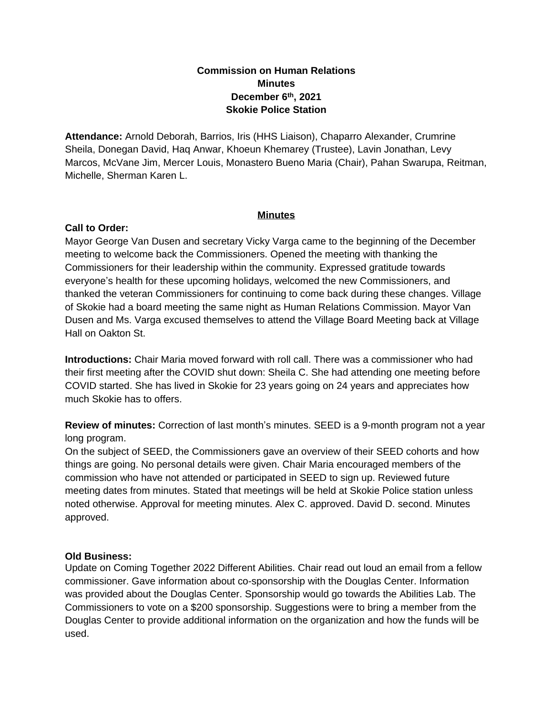# **Commission on Human Relations Minutes December 6th, 2021 Skokie Police Station**

**Attendance:** Arnold Deborah, Barrios, Iris (HHS Liaison), Chaparro Alexander, Crumrine Sheila, Donegan David, Haq Anwar, Khoeun Khemarey (Trustee), Lavin Jonathan, Levy Marcos, McVane Jim, Mercer Louis, Monastero Bueno Maria (Chair), Pahan Swarupa, Reitman, Michelle, Sherman Karen L.

## **Minutes**

## **Call to Order:**

Mayor George Van Dusen and secretary Vicky Varga came to the beginning of the December meeting to welcome back the Commissioners. Opened the meeting with thanking the Commissioners for their leadership within the community. Expressed gratitude towards everyone's health for these upcoming holidays, welcomed the new Commissioners, and thanked the veteran Commissioners for continuing to come back during these changes. Village of Skokie had a board meeting the same night as Human Relations Commission. Mayor Van Dusen and Ms. Varga excused themselves to attend the Village Board Meeting back at Village Hall on Oakton St.

**Introductions:** Chair Maria moved forward with roll call. There was a commissioner who had their first meeting after the COVID shut down: Sheila C. She had attending one meeting before COVID started. She has lived in Skokie for 23 years going on 24 years and appreciates how much Skokie has to offers.

**Review of minutes:** Correction of last month's minutes. SEED is a 9-month program not a year long program.

On the subject of SEED, the Commissioners gave an overview of their SEED cohorts and how things are going. No personal details were given. Chair Maria encouraged members of the commission who have not attended or participated in SEED to sign up. Reviewed future meeting dates from minutes. Stated that meetings will be held at Skokie Police station unless noted otherwise. Approval for meeting minutes. Alex C. approved. David D. second. Minutes approved.

## **Old Business:**

Update on Coming Together 2022 Different Abilities. Chair read out loud an email from a fellow commissioner. Gave information about co-sponsorship with the Douglas Center. Information was provided about the Douglas Center. Sponsorship would go towards the Abilities Lab. The Commissioners to vote on a \$200 sponsorship. Suggestions were to bring a member from the Douglas Center to provide additional information on the organization and how the funds will be used.